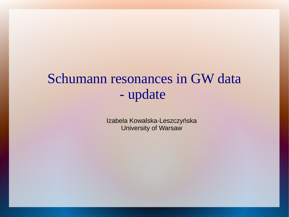## Schumann resonances in GW data - update

Izabela Kowalska-Leszczyńska University of Warsaw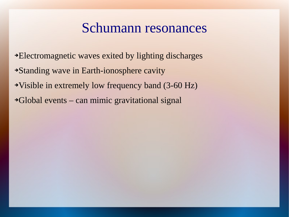#### Schumann resonances

- ➔Electromagnetic waves exited by lighting discharges
- ➔Standing wave in Earth-ionosphere cavity
- ➔Visible in extremely low frequency band (3-60 Hz)
- ➔Global events can mimic gravitational signal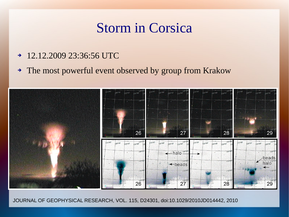#### Storm in Corsica

- ➔ 12.12.2009 23:36:56 UTC
- ➔ The most powerful event observed by group from Krakow



JOURNAL OF GEOPHYSICAL RESEARCH, VOL. 115, D24301, doi:10.1029/2010JD014442, 2010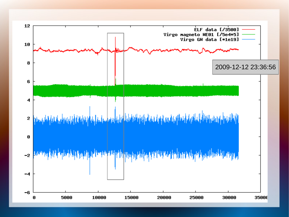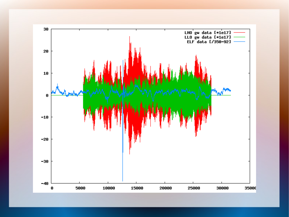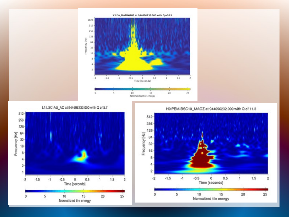

L1:LSC-AS\_AC at 944696232.000 with Q of 5.7



H0:PEM-BSC10\_MAGZ at 944696232.000 with Q of 11.3



V1:Em.MABDWE03 at 944696232,000 with Q of 8.5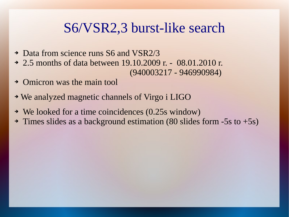#### S6/VSR2,3 burst-like search

- ➔ Data from science runs S6 and VSR2/3
- ➔ 2.5 months of data between 19.10.2009 r. 08.01.2010 r. (940003217 - 946990984)
- ➔ Omicron was the main tool
- ➔ We analyzed magnetic channels of Virgo i LIGO
- ➔ We looked for a time coincidences (0.25s window)
- ➔ Times slides as a background estimation (80 slides form -5s to +5s)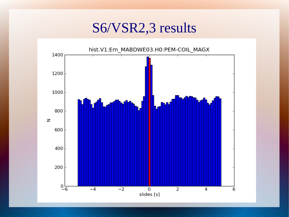S6/VSR2,3 results

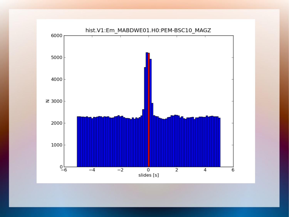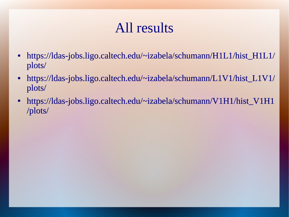# All results

- [https://ldas-jobs.ligo.caltech.edu/~izabela/schumann/H1L1/hist\\_H1L1/](https://ldas-jobs.ligo.caltech.edu/~izabela/schumann/H1L1/hist_H1L1/plots/) [plots/](https://ldas-jobs.ligo.caltech.edu/~izabela/schumann/H1L1/hist_H1L1/plots/)
- [https://ldas-jobs.ligo.caltech.edu/~izabela/schumann/L1V1/hist\\_L1V1/](https://ldas-jobs.ligo.caltech.edu/~izabela/schumann/L1V1/hist_L1V1/plots/) [plots/](https://ldas-jobs.ligo.caltech.edu/~izabela/schumann/L1V1/hist_L1V1/plots/)
- [https://ldas-jobs.ligo.caltech.edu/~izabela/schumann/V1H1/hist\\_V1H1](https://ldas-jobs.ligo.caltech.edu/~izabela/schumann/V1H1/hist_V1H1/plots/) [/plots/](https://ldas-jobs.ligo.caltech.edu/~izabela/schumann/V1H1/hist_V1H1/plots/)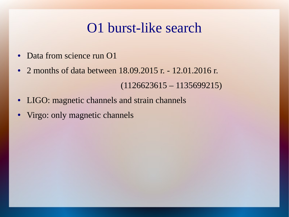### O1 burst-like search

- Data from science run O1
- 2 months of data between 18.09.2015 r. 12.01.2016 r. (1126623615 – 1135699215)
- LIGO: magnetic channels and strain channels
- Virgo: only magnetic channels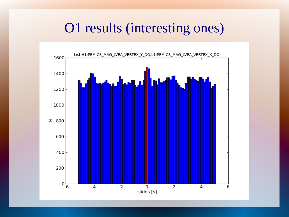#### O1 results (interesting ones)

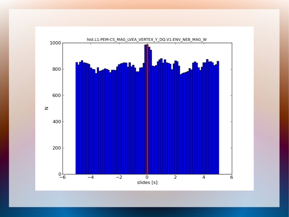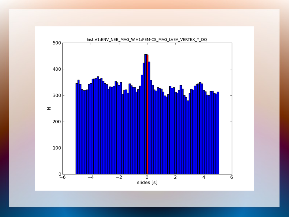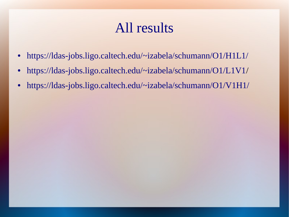## All results

- <https://ldas-jobs.ligo.caltech.edu/~izabela/schumann/O1/H1L1/>
- <https://ldas-jobs.ligo.caltech.edu/~izabela/schumann/O1/L1V1>/
- <https://ldas-jobs.ligo.caltech.edu/~izabela/schumann/O1/V1H1/>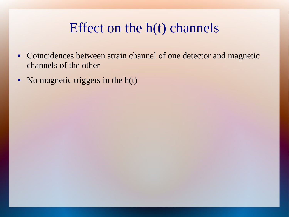## Effect on the h(t) channels

- Coincidences between strain channel of one detector and magnetic channels of the other
- No magnetic triggers in the  $h(t)$